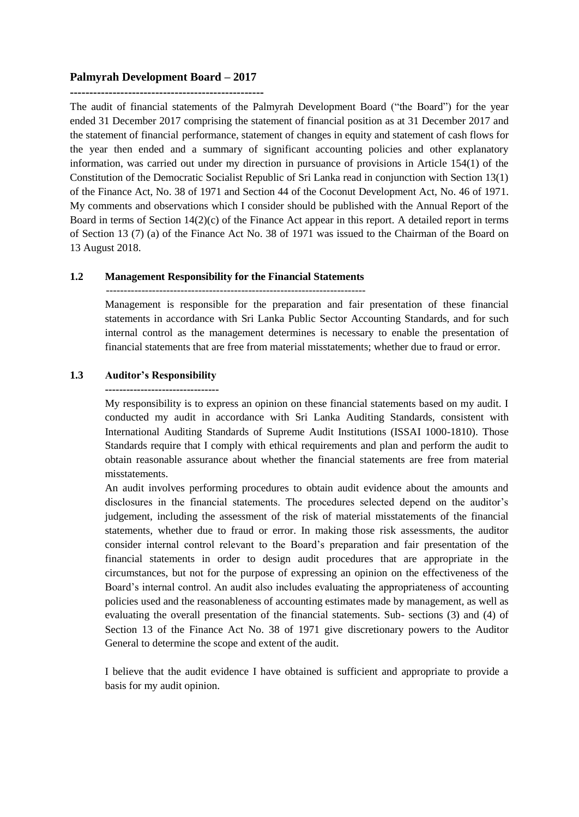# **Palmyrah Development Board – 2017**

**--------------------------------------------------**

The audit of financial statements of the Palmyrah Development Board ("the Board") for the year ended 31 December 2017 comprising the statement of financial position as at 31 December 2017 and the statement of financial performance, statement of changes in equity and statement of cash flows for the year then ended and a summary of significant accounting policies and other explanatory information, was carried out under my direction in pursuance of provisions in Article 154(1) of the Constitution of the Democratic Socialist Republic of Sri Lanka read in conjunction with Section 13(1) of the Finance Act, No. 38 of 1971 and Section 44 of the Coconut Development Act, No. 46 of 1971. My comments and observations which I consider should be published with the Annual Report of the Board in terms of Section 14(2)(c) of the Finance Act appear in this report. A detailed report in terms of Section 13 (7) (a) of the Finance Act No. 38 of 1971 was issued to the Chairman of the Board on 13 August 2018.

# **1.2 Management Responsibility for the Financial Statements**

-------------------------------------------------------------------------

Management is responsible for the preparation and fair presentation of these financial statements in accordance with Sri Lanka Public Sector Accounting Standards, and for such internal control as the management determines is necessary to enable the presentation of financial statements that are free from material misstatements; whether due to fraud or error.

# **1.3 Auditor's Responsibility**

#### **--------------------------------**

My responsibility is to express an opinion on these financial statements based on my audit. I conducted my audit in accordance with Sri Lanka Auditing Standards, consistent with International Auditing Standards of Supreme Audit Institutions (ISSAI 1000-1810). Those Standards require that I comply with ethical requirements and plan and perform the audit to obtain reasonable assurance about whether the financial statements are free from material misstatements.

An audit involves performing procedures to obtain audit evidence about the amounts and disclosures in the financial statements. The procedures selected depend on the auditor's judgement, including the assessment of the risk of material misstatements of the financial statements, whether due to fraud or error. In making those risk assessments, the auditor consider internal control relevant to the Board's preparation and fair presentation of the financial statements in order to design audit procedures that are appropriate in the circumstances, but not for the purpose of expressing an opinion on the effectiveness of the Board's internal control. An audit also includes evaluating the appropriateness of accounting policies used and the reasonableness of accounting estimates made by management, as well as evaluating the overall presentation of the financial statements. Sub- sections (3) and (4) of Section 13 of the Finance Act No. 38 of 1971 give discretionary powers to the Auditor General to determine the scope and extent of the audit.

I believe that the audit evidence I have obtained is sufficient and appropriate to provide a basis for my audit opinion.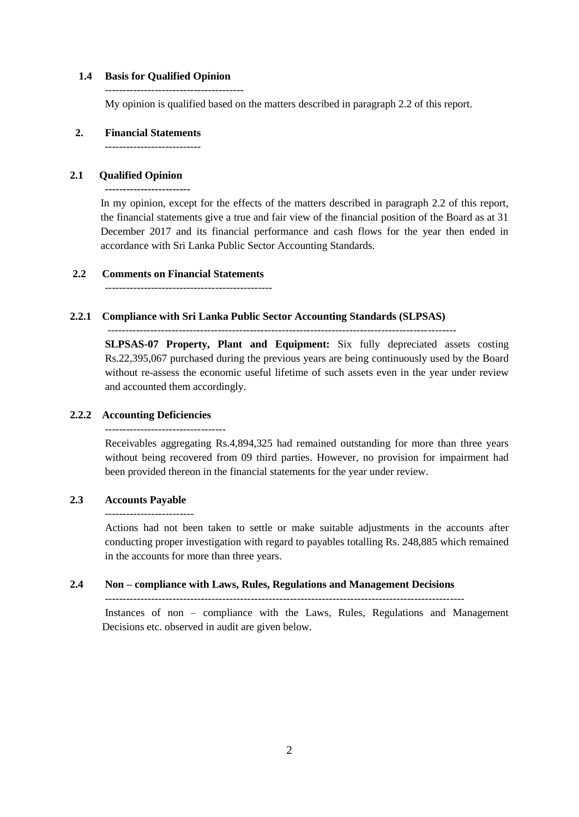### **1.4 Basis for Qualified Opinion**

---------------------------------------

My opinion is qualified based on the matters described in paragraph 2.2 of this report.

### **2. Financial Statements**

---------------------------

# **2.1 Qualified Opinion**

**------------------------**

In my opinion, except for the effects of the matters described in paragraph 2.2 of this report, the financial statements give a true and fair view of the financial position of the Board as at 31 December 2017 and its financial performance and cash flows for the year then ended in accordance with Sri Lanka Public Sector Accounting Standards.

# **2.2 Comments on Financial Statements**

# **2.2.1 Compliance with Sri Lanka Public Sector Accounting Standards (SLPSAS)**

--------------------------------------------------------------------------------------------------

**SLPSAS-07 Property, Plant and Equipment:** Six fully depreciated assets costing Rs.22,395,067 purchased during the previous years are being continuously used by the Board without re-assess the economic useful lifetime of such assets even in the year under review and accounted them accordingly.

# **2.2.2 Accounting Deficiencies**

---------------------------------- Receivables aggregating Rs.4,894,325 had remained outstanding for more than three years

without being recovered from 09 third parties. However, no provision for impairment had been provided thereon in the financial statements for the year under review.

# **2.3 Accounts Payable**

Actions had not been taken to settle or make suitable adjustments in the accounts after conducting proper investigation with regard to payables totalling Rs. 248,885 which remained in the accounts for more than three years.

# **2.4 Non – compliance with Laws, Rules, Regulations and Management Decisions**

-----------------------------------------------------------------------------------------------------

Instances of non – compliance with the Laws, Rules, Regulations and Management Decisions etc. observed in audit are given below.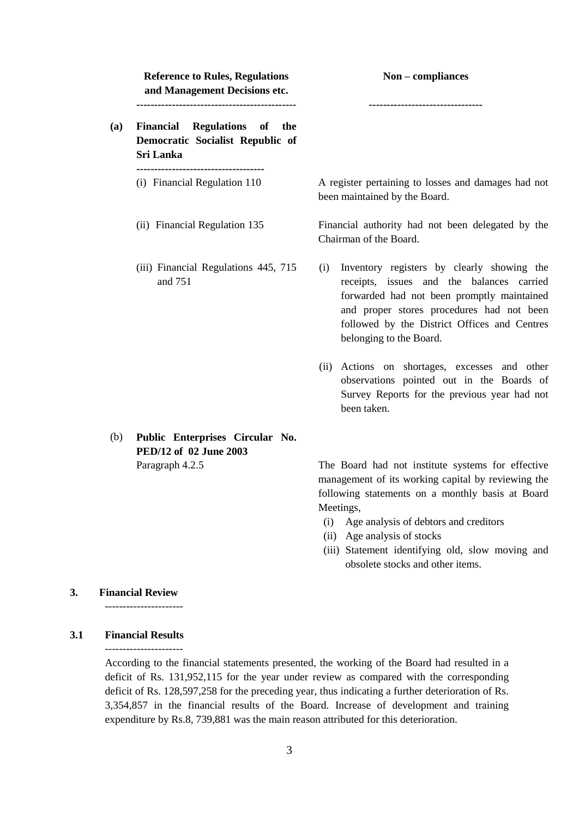| <b>Reference to Rules, Regulations</b><br>and Management Decisions etc.       | $Non-compliance$                                                                                                                                                                                                                                                     |  |  |  |
|-------------------------------------------------------------------------------|----------------------------------------------------------------------------------------------------------------------------------------------------------------------------------------------------------------------------------------------------------------------|--|--|--|
| Financial Regulations of the<br>Democratic Socialist Republic of<br>Sri Lanka |                                                                                                                                                                                                                                                                      |  |  |  |
| (i) Financial Regulation 110                                                  | A register pertaining to losses and damages had not<br>been maintained by the Board.                                                                                                                                                                                 |  |  |  |
| (ii) Financial Regulation 135                                                 | Financial authority had not been delegated by the<br>Chairman of the Board.                                                                                                                                                                                          |  |  |  |
| (iii) Financial Regulations 445, 715<br>and 751                               | Inventory registers by clearly showing the<br>(i)<br>receipts, issues and the balances carried<br>forwarded had not been promptly maintained<br>and proper stores procedures had not been<br>followed by the District Offices and Centres<br>belonging to the Board. |  |  |  |
|                                                                               | (ii) Actions on shortages, excesses and other<br>observations pointed out in the Boards of<br>Survey Reports for the previous year had not<br>been taken.                                                                                                            |  |  |  |

(b) **Public Enterprises Circular No. PED/12 of 02 June 2003**

Paragraph 4.2.5 The Board had not institute systems for effective management of its working capital by reviewing the following statements on a monthly basis at Board Meetings,

- (i) Age analysis of debtors and creditors
- (ii) Age analysis of stocks
- (iii) Statement identifying old, slow moving and obsolete stocks and other items.

# **3. Financial Review**

----------------------

# **3.1 Financial Results**

----------------------

According to the financial statements presented, the working of the Board had resulted in a deficit of Rs. 131,952,115 for the year under review as compared with the corresponding deficit of Rs. 128,597,258 for the preceding year, thus indicating a further deterioration of Rs. 3,354,857 in the financial results of the Board. Increase of development and training expenditure by Rs.8, 739,881 was the main reason attributed for this deterioration.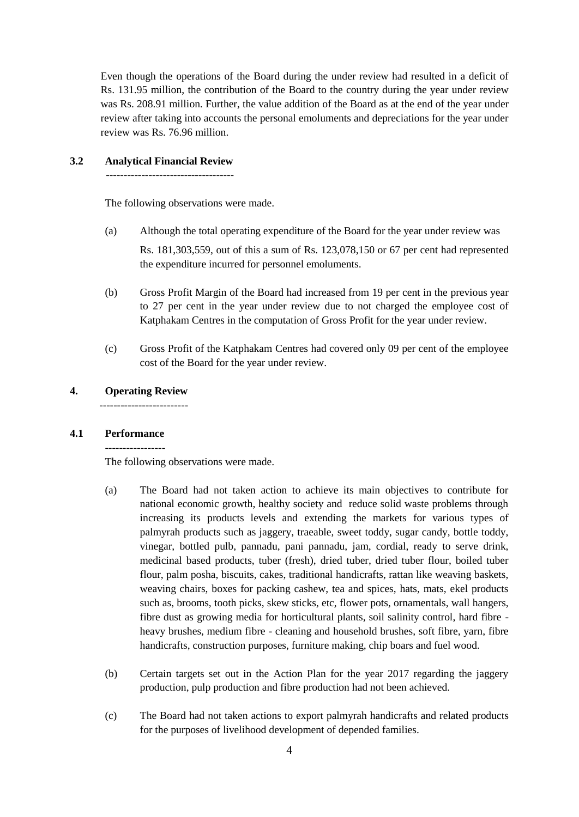Even though the operations of the Board during the under review had resulted in a deficit of Rs. 131.95 million, the contribution of the Board to the country during the year under review was Rs. 208.91 million. Further, the value addition of the Board as at the end of the year under review after taking into accounts the personal emoluments and depreciations for the year under review was Rs. 76.96 million.

## **3.2 Analytical Financial Review**

------------------------------------

The following observations were made.

- (a) Although the total operating expenditure of the Board for the year under review was Rs. 181,303,559, out of this a sum of Rs. 123,078,150 or 67 per cent had represented the expenditure incurred for personnel emoluments.
- (b) Gross Profit Margin of the Board had increased from 19 per cent in the previous year to 27 per cent in the year under review due to not charged the employee cost of Katphakam Centres in the computation of Gross Profit for the year under review.
- (c) Gross Profit of the Katphakam Centres had covered only 09 per cent of the employee cost of the Board for the year under review.

# **4. Operating Review**

## **4.1 Performance**

The following observations were made.

- (a) The Board had not taken action to achieve its main objectives to contribute for national economic growth, healthy society and reduce solid waste problems through increasing its products levels and extending the markets for various types of palmyrah products such as jaggery, traeable, sweet toddy, sugar candy, bottle toddy, vinegar, bottled pulb, pannadu, pani pannadu, jam, cordial, ready to serve drink, medicinal based products, tuber (fresh), dried tuber, dried tuber flour, boiled tuber flour, palm posha, biscuits, cakes, traditional handicrafts, rattan like weaving baskets, weaving chairs, boxes for packing cashew, tea and spices, hats, mats, ekel products such as, brooms, tooth picks, skew sticks, etc, flower pots, ornamentals, wall hangers, fibre dust as growing media for horticultural plants, soil salinity control, hard fibre heavy brushes, medium fibre - cleaning and household brushes, soft fibre, yarn, fibre handicrafts, construction purposes, furniture making, chip boars and fuel wood.
- (b) Certain targets set out in the Action Plan for the year 2017 regarding the jaggery production, pulp production and fibre production had not been achieved.
- (c) The Board had not taken actions to export palmyrah handicrafts and related products for the purposes of livelihood development of depended families.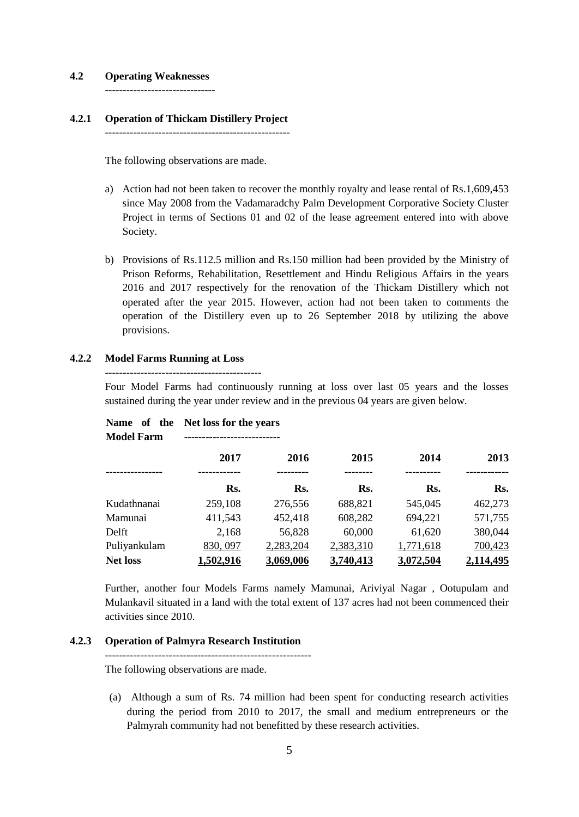### **4.2 Operating Weaknesses**

-------------------------------

# **4.2.1 Operation of Thickam Distillery Project**

----------------------------------------------------

The following observations are made.

- a) Action had not been taken to recover the monthly royalty and lease rental of Rs.1,609,453 since May 2008 from the Vadamaradchy Palm Development Corporative Society Cluster Project in terms of Sections 01 and 02 of the lease agreement entered into with above Society.
- b) Provisions of Rs.112.5 million and Rs.150 million had been provided by the Ministry of Prison Reforms, Rehabilitation, Resettlement and Hindu Religious Affairs in the years 2016 and 2017 respectively for the renovation of the Thickam Distillery which not operated after the year 2015. However, action had not been taken to comments the operation of the Distillery even up to 26 September 2018 by utilizing the above provisions.

# **4.2.2 Model Farms Running at Loss**

Four Model Farms had continuously running at loss over last 05 years and the losses sustained during the year under review and in the previous 04 years are given below.

| Name of the<br><b>Model Farm</b> | Net loss for the years |           |           |           |           |
|----------------------------------|------------------------|-----------|-----------|-----------|-----------|
|                                  | 2017                   | 2016      | 2015      | 2014      | 2013      |
|                                  | Rs.                    | Rs.       | Rs.       | Rs.       | Rs.       |
| Kudathnanai                      | 259,108                | 276,556   | 688,821   | 545,045   | 462,273   |
| Mamunai                          | 411,543                | 452,418   | 608,282   | 694,221   | 571,755   |
| Delft                            | 2,168                  | 56,828    | 60,000    | 61,620    | 380,044   |
| Puliyankulam                     | 830, 097               | 2,283,204 | 2,383,310 | 1,771,618 | 700,423   |
| <b>Net loss</b>                  | 1,502,916              | 3,069,006 | 3,740,413 | 3,072,504 | 2,114,495 |

Further, another four Models Farms namely Mamunai, Ariviyal Nagar , Ootupulam and Mulankavil situated in a land with the total extent of 137 acres had not been commenced their activities since 2010.

### **4.2.3 Operation of Palmyra Research Institution**

----------------------------------------------------------

The following observations are made.

(a) Although a sum of Rs. 74 million had been spent for conducting research activities during the period from 2010 to 2017, the small and medium entrepreneurs or the Palmyrah community had not benefitted by these research activities.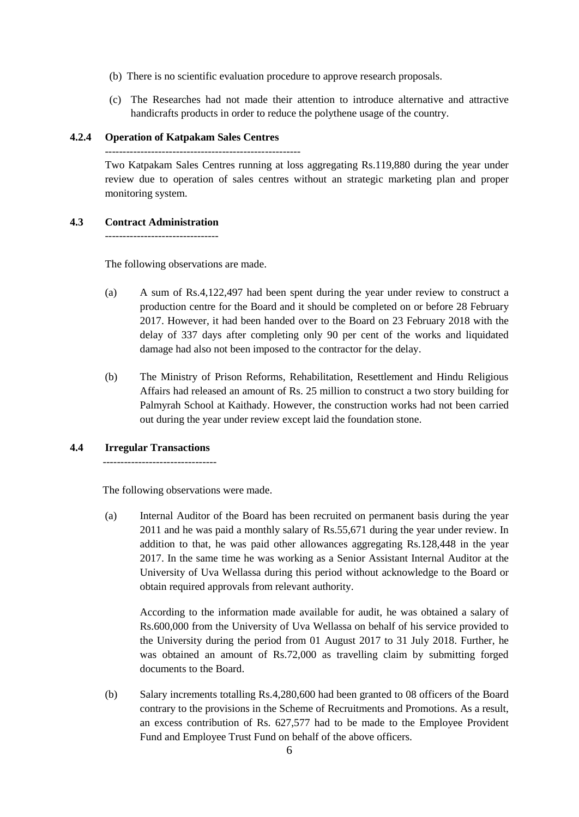- (b) There is no scientific evaluation procedure to approve research proposals.
- (c) The Researches had not made their attention to introduce alternative and attractive handicrafts products in order to reduce the polythene usage of the country.

# **4.2.4 Operation of Katpakam Sales Centres**

Two Katpakam Sales Centres running at loss aggregating Rs.119,880 during the year under review due to operation of sales centres without an strategic marketing plan and proper monitoring system.

## **4.3 Contract Administration**

The following observations are made.

- (a) A sum of Rs.4,122,497 had been spent during the year under review to construct a production centre for the Board and it should be completed on or before 28 February 2017. However, it had been handed over to the Board on 23 February 2018 with the delay of 337 days after completing only 90 per cent of the works and liquidated damage had also not been imposed to the contractor for the delay.
- (b) The Ministry of Prison Reforms, Rehabilitation, Resettlement and Hindu Religious Affairs had released an amount of Rs. 25 million to construct a two story building for Palmyrah School at Kaithady. However, the construction works had not been carried out during the year under review except laid the foundation stone.

# **4.4 Irregular Transactions**

The following observations were made.

(a) Internal Auditor of the Board has been recruited on permanent basis during the year 2011 and he was paid a monthly salary of Rs.55,671 during the year under review. In addition to that, he was paid other allowances aggregating Rs.128,448 in the year 2017. In the same time he was working as a Senior Assistant Internal Auditor at the University of Uva Wellassa during this period without acknowledge to the Board or obtain required approvals from relevant authority.

According to the information made available for audit, he was obtained a salary of Rs.600,000 from the University of Uva Wellassa on behalf of his service provided to the University during the period from 01 August 2017 to 31 July 2018. Further, he was obtained an amount of Rs.72,000 as travelling claim by submitting forged documents to the Board.

(b) Salary increments totalling Rs.4,280,600 had been granted to 08 officers of the Board contrary to the provisions in the Scheme of Recruitments and Promotions. As a result, an excess contribution of Rs. 627,577 had to be made to the Employee Provident Fund and Employee Trust Fund on behalf of the above officers.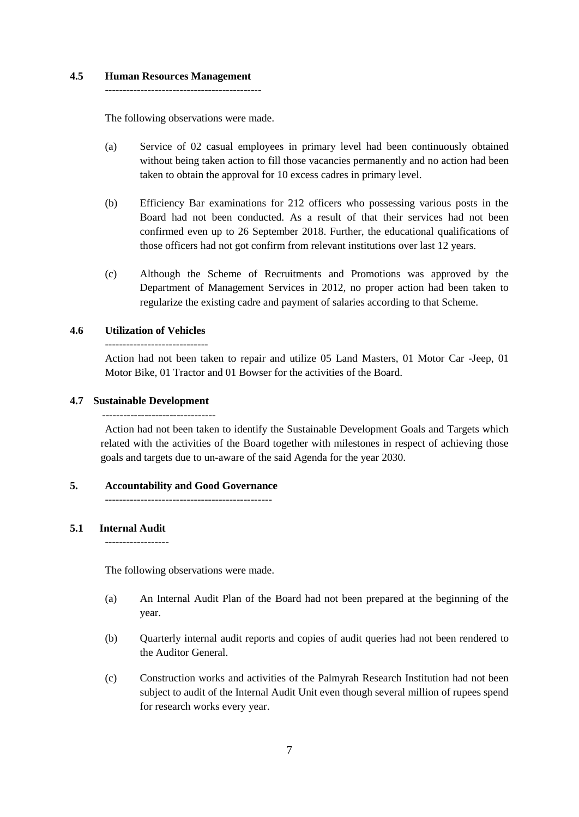## **4.5 Human Resources Management**

--------------------------------------------

The following observations were made.

- (a) Service of 02 casual employees in primary level had been continuously obtained without being taken action to fill those vacancies permanently and no action had been taken to obtain the approval for 10 excess cadres in primary level.
- (b) Efficiency Bar examinations for 212 officers who possessing various posts in the Board had not been conducted. As a result of that their services had not been confirmed even up to 26 September 2018. Further, the educational qualifications of those officers had not got confirm from relevant institutions over last 12 years.
- (c) Although the Scheme of Recruitments and Promotions was approved by the Department of Management Services in 2012, no proper action had been taken to regularize the existing cadre and payment of salaries according to that Scheme.

# **4.6 Utilization of Vehicles**

-----------------------------

Action had not been taken to repair and utilize 05 Land Masters, 01 Motor Car -Jeep, 01 Motor Bike, 01 Tractor and 01 Bowser for the activities of the Board.

## **4.7 Sustainable Development**

--------------------------------

Action had not been taken to identify the Sustainable Development Goals and Targets which related with the activities of the Board together with milestones in respect of achieving those goals and targets due to un-aware of the said Agenda for the year 2030.

### **5. Accountability and Good Governance**

-----------------------------------------------

# **5.1 Internal Audit**

------------------

The following observations were made.

- (a) An Internal Audit Plan of the Board had not been prepared at the beginning of the year.
- (b) Quarterly internal audit reports and copies of audit queries had not been rendered to the Auditor General.
- (c) Construction works and activities of the Palmyrah Research Institution had not been subject to audit of the Internal Audit Unit even though several million of rupees spend for research works every year.